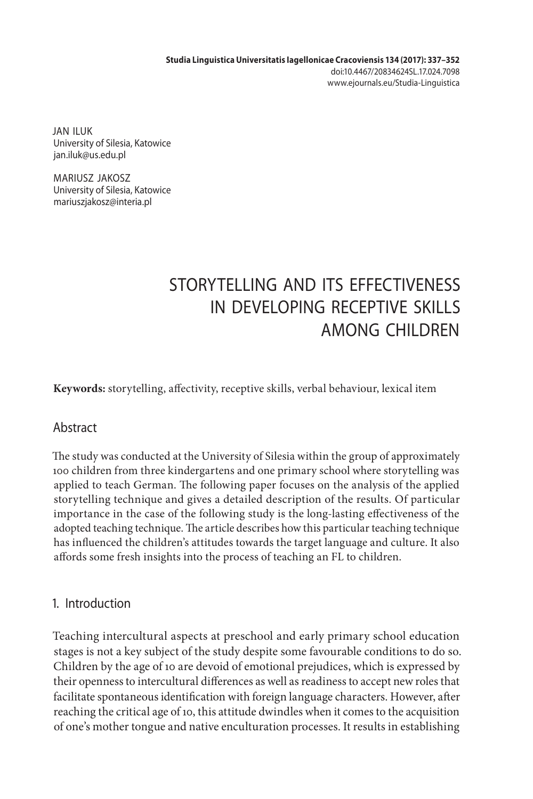**Studia Linguistica Universitatis Iagellonicae Cracoviensis 134 (2017): 337–352** doi:10.4467/20834624SL.17.024.7098 www.ejournals.eu/Studia-Linguistica

JAN ILUK University of Silesia, Katowice jan.iluk@us.edu.pl

MARIUSZ JAKOSZ University of Silesia, Katowice mariuszjakosz@interia.pl

# STORYTELLING AND ITS FEFECTIVENESS IN DEVELOPING RECEPTIVE SKILLS AMONG CHILDREN

**Keywords:** storytelling, affectivity, receptive skills, verbal behaviour, lexical item

## Abstract

The study was conducted at the University of Silesia within the group of approximately 100 children from three kindergartens and one primary school where storytelling was applied to teach German. The following paper focuses on the analysis of the applied storytelling technique and gives a detailed description of the results. Of particular importance in the case of the following study is the long-lasting effectiveness of the adopted teaching technique. The article describes how this particular teaching technique has influenced the children's attitudes towards the target language and culture. It also affords some fresh insights into the process of teaching an FL to children.

## 1. Introduction

Teaching intercultural aspects at preschool and early primary school education stages is not a key subject of the study despite some favourable conditions to do so. Children by the age of 10 are devoid of emotional prejudices, which is expressed by their openness to intercultural differences as well as readiness to accept new roles that facilitate spontaneous identification with foreign language characters. However, after reaching the critical age of 10, this attitude dwindles when it comes to the acquisition of one's mother tongue and native enculturation processes. It results in establishing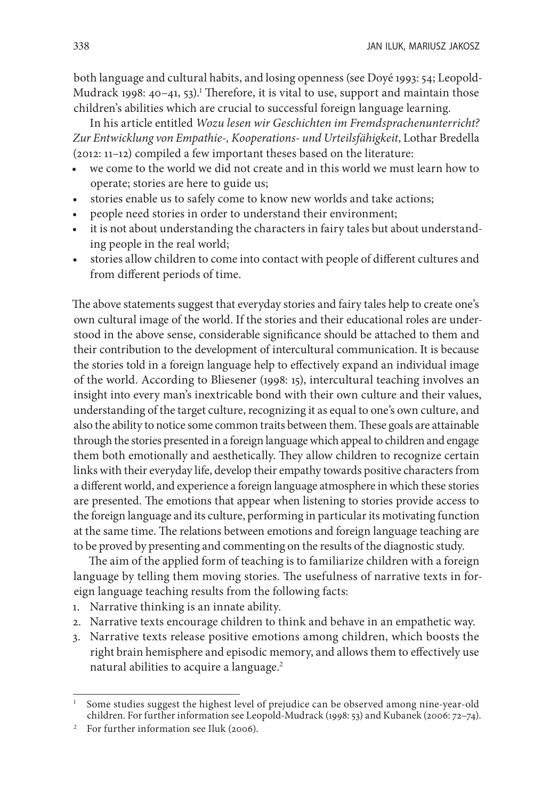both language and cultural habits, and losing openness (see Doyé 1993: 54; Leopold-Mudrack 1998: 40–41, 53).<sup>1</sup> Therefore, it is vital to use, support and maintain those children's abilities which are crucial to successful foreign language learning.

In his article entitled *Wozu lesen wir Geschichten im Fremdsprachenunterricht? Zur Entwicklung von Empathie-, Kooperations- und Urteilsfähigkeit*, Lothar Bredella (2012: 11–12) compiled a few important theses based on the literature:

- we come to the world we did not create and in this world we must learn how to operate; stories are here to guide us;
- stories enable us to safely come to know new worlds and take actions;
- people need stories in order to understand their environment;
- it is not about understanding the characters in fairy tales but about understanding people in the real world;
- stories allow children to come into contact with people of different cultures and from different periods of time.

The above statements suggest that everyday stories and fairy tales help to create one's own cultural image of the world. If the stories and their educational roles are understood in the above sense, considerable significance should be attached to them and their contribution to the development of intercultural communication. It is because the stories told in a foreign language help to effectively expand an individual image of the world. According to Bliesener (1998: 15), intercultural teaching involves an insight into every man's inextricable bond with their own culture and their values, understanding of the target culture, recognizing it as equal to one's own culture, and also the ability to notice some common traits between them. These goals are attainable through the stories presented in a foreign language which appeal to children and engage them both emotionally and aesthetically. They allow children to recognize certain links with their everyday life, develop their empathy towards positive characters from a different world, and experience a foreign language atmosphere in which these stories are presented. The emotions that appear when listening to stories provide access to the foreign language and its culture, performing in particular its motivating function at the same time. The relations between emotions and foreign language teaching are to be proved by presenting and commenting on the results of the diagnostic study.

The aim of the applied form of teaching is to familiarize children with a foreign language by telling them moving stories. The usefulness of narrative texts in foreign language teaching results from the following facts:

- 1. Narrative thinking is an innate ability.
- 2. Narrative texts encourage children to think and behave in an empathetic way.
- 3. Narrative texts release positive emotions among children, which boosts the right brain hemisphere and episodic memory, and allows them to effectively use natural abilities to acquire a language.<sup>2</sup>

<sup>1</sup> Some studies suggest the highest level of prejudice can be observed among nine-year-old children. For further information see Leopold-Mudrack (1998: 53) and Kubanek (2006: 72–74).

<sup>&</sup>lt;sup>2</sup> For further information see Iluk (2006).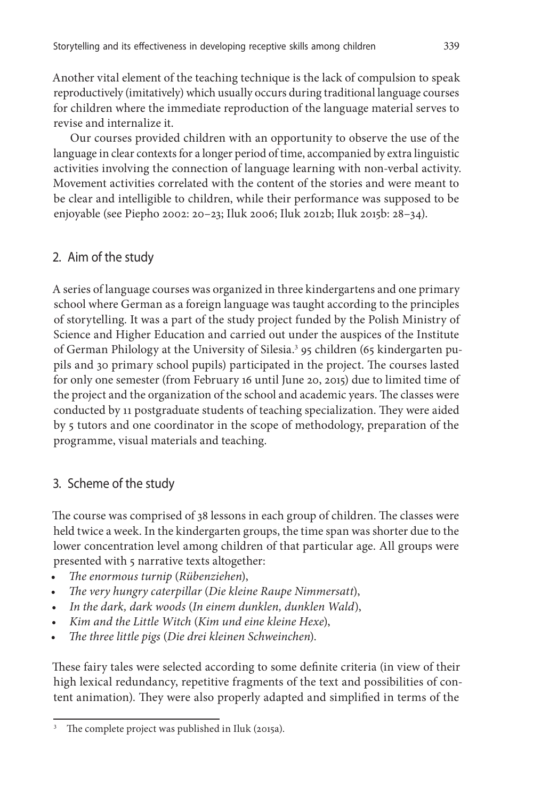Another vital element of the teaching technique is the lack of compulsion to speak reproductively (imitatively) which usually occurs during traditional language courses for children where the immediate reproduction of the language material serves to revise and internalize it.

Our courses provided children with an opportunity to observe the use of the language in clear contexts for a longer period of time, accompanied by extra linguistic activities involving the connection of language learning with non-verbal activity. Movement activities correlated with the content of the stories and were meant to be clear and intelligible to children, while their performance was supposed to be enjoyable (see Piepho 2002: 20–23; Iluk 2006; Iluk 2012b; Iluk 2015b: 28–34).

## 2. Aim of the study

A series of language courses was organized in three kindergartens and one primary school where German as a foreign language was taught according to the principles of storytelling. It was a part of the study project funded by the Polish Ministry of Science and Higher Education and carried out under the auspices of the Institute of German Philology at the University of Silesia.<sup>3</sup> 95 children (65 kindergarten pupils and 30 primary school pupils) participated in the project. The courses lasted for only one semester (from February 16 until June 20, 2015) due to limited time of the project and the organization of the school and academic years. The classes were conducted by 11 postgraduate students of teaching specialization. They were aided by 5 tutors and one coordinator in the scope of methodology, preparation of the programme, visual materials and teaching.

## 3. Scheme of the study

The course was comprised of 38 lessons in each group of children. The classes were held twice a week. In the kindergarten groups, the time span was shorter due to the lower concentration level among children of that particular age. All groups were presented with 5 narrative texts altogether:

- *The enormous turnip* (*Rübenziehen*),
- *The very hungry caterpillar* (*Die kleine Raupe Nimmersatt*),
- *In the dark, dark woods* (*In einem dunklen, dunklen Wald*),
- *Kim and the Little Witch* (*Kim und eine kleine Hexe*),
- *The three little pigs* (*Die drei kleinen Schweinchen*).

These fairy tales were selected according to some definite criteria (in view of their high lexical redundancy, repetitive fragments of the text and possibilities of content animation). They were also properly adapted and simplified in terms of the

The complete project was published in Iluk (2015a).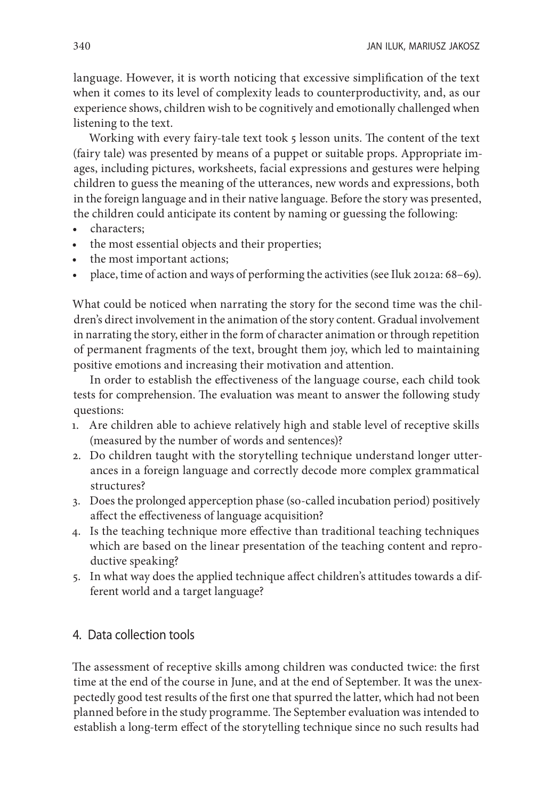language. However, it is worth noticing that excessive simplification of the text when it comes to its level of complexity leads to counterproductivity, and, as our experience shows, children wish to be cognitively and emotionally challenged when listening to the text.

Working with every fairy-tale text took 5 lesson units. The content of the text (fairy tale) was presented by means of a puppet or suitable props. Appropriate images, including pictures, worksheets, facial expressions and gestures were helping children to guess the meaning of the utterances, new words and expressions, both in the foreign language and in their native language. Before the story was presented, the children could anticipate its content by naming or guessing the following:

- characters;
- the most essential objects and their properties;
- the most important actions;
- place, time of action and ways of performing the activities (see Iluk 2012a: 68–69).

What could be noticed when narrating the story for the second time was the children's direct involvement in the animation of the story content. Gradual involvement in narrating the story, either in the form of character animation or through repetition of permanent fragments of the text, brought them joy, which led to maintaining positive emotions and increasing their motivation and attention.

In order to establish the effectiveness of the language course, each child took tests for comprehension. The evaluation was meant to answer the following study questions:

- 1. Are children able to achieve relatively high and stable level of receptive skills (measured by the number of words and sentences)?
- 2. Do children taught with the storytelling technique understand longer utterances in a foreign language and correctly decode more complex grammatical structures?
- 3. Does the prolonged apperception phase (so-called incubation period) positively affect the effectiveness of language acquisition?
- 4. Is the teaching technique more effective than traditional teaching techniques which are based on the linear presentation of the teaching content and reproductive speaking?
- 5. In what way does the applied technique affect children's attitudes towards a different world and a target language?

## 4. Data collection tools

The assessment of receptive skills among children was conducted twice: the first time at the end of the course in June, and at the end of September. It was the unexpectedly good test results of the first one that spurred the latter, which had not been planned before in the study programme. The September evaluation was intended to establish a long-term effect of the storytelling technique since no such results had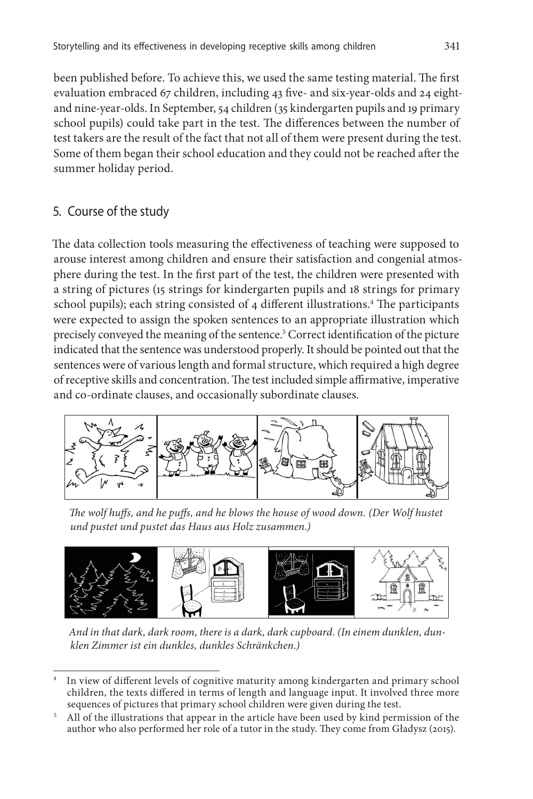been published before. To achieve this, we used the same testing material. The first evaluation embraced 67 children, including 43 five- and six-year-olds and 24 eightand nine-year-olds. In September, 54 children (35 kindergarten pupils and 19 primary school pupils) could take part in the test. The differences between the number of test takers are the result of the fact that not all of them were present during the test. Some of them began their school education and they could not be reached after the summer holiday period.

## 5. Course of the study

The data collection tools measuring the effectiveness of teaching were supposed to arouse interest among children and ensure their satisfaction and congenial atmosphere during the test. In the first part of the test, the children were presented with a string of pictures (15 strings for kindergarten pupils and 18 strings for primary school pupils); each string consisted of 4 different illustrations.<sup>4</sup> The participants were expected to assign the spoken sentences to an appropriate illustration which precisely conveyed the meaning of the sentence.5 Correct identification of the picture indicated that the sentence was understood properly. It should be pointed out that the sentences were of various length and formal structure, which required a high degree of receptive skills and concentration. The test included simple affirmative, imperative and co-ordinate clauses, and occasionally subordinate clauses.



*The wolf huffs, and he puffs, and he blows the house of wood down. (Der Wolf hustet und pustet und pustet das Haus aus Holz zusammen.)*



*And in that dark, dark room, there is a dark, dark cupboard. (In einem dunklen, dunklen Zimmer ist ein dunkles, dunkles Schränkchen.)*

<sup>5</sup> All of the illustrations that appear in the article have been used by kind permission of the author who also performed her role of a tutor in the study. They come from Gładysz (2015).

In view of different levels of cognitive maturity among kindergarten and primary school children, the texts differed in terms of length and language input. It involved three more sequences of pictures that primary school children were given during the test.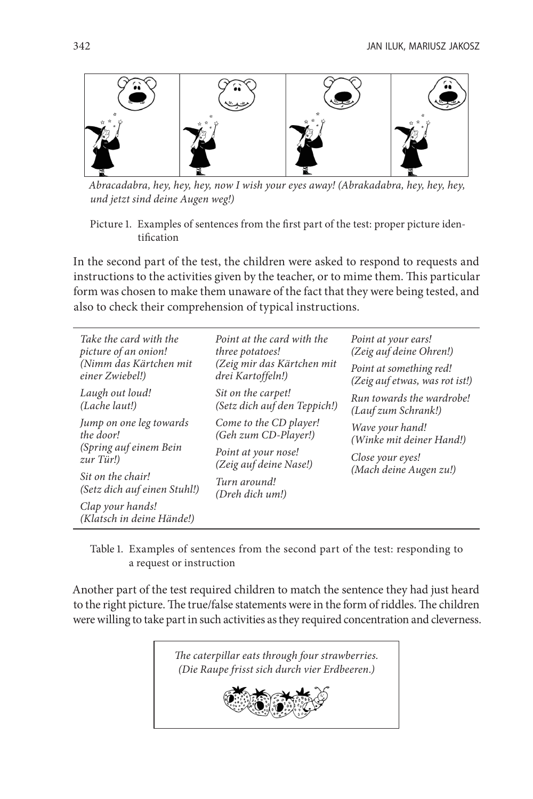

*Abracadabra, hey, hey, hey, now I wish your eyes away! (Abrakadabra, hey, hey, hey, und jetzt sind deine Augen weg!)*

In the second part of the test, the children were asked to respond to requests and instructions to the activities given by the teacher, or to mime them. This particular form was chosen to make them unaware of the fact that they were being tested, and also to check their comprehension of typical instructions.

| Take the card with the                            | Point at the card with the      | Point at your ears!            |  |  |
|---------------------------------------------------|---------------------------------|--------------------------------|--|--|
| picture of an onion!                              | three potatoes!                 | (Zeig auf deine Ohren!)        |  |  |
| (Nimm das Kärtchen mit                            | (Zeig mir das Kärtchen mit      | Point at something red!        |  |  |
| einer Zwiebel!)                                   | drei Kartoffeln!)               | (Zeig auf etwas, was rot ist!) |  |  |
| Laugh out loud!                                   | Sit on the carpet!              | Run towards the wardrobe!      |  |  |
| (Lache laut!)                                     | (Setz dich auf den Teppich!)    | (Lauf zum Schrank!)            |  |  |
| Jump on one leg towards                           | Come to the CD player!          | Wave your hand!                |  |  |
| the door!                                         | (Geh zum CD-Player!)            | (Winke mit deiner Hand!)       |  |  |
| (Spring auf einem Bein                            | Point at your nose!             | Close your eyes!               |  |  |
| $zur$ Tür!)                                       | (Zeig auf deine Nase!)          | (Mach deine Augen zu!)         |  |  |
| Sit on the chair!<br>(Setz dich auf einen Stuhl!) | Turn around!<br>(Dreh dich um!) |                                |  |  |
| Clap your hands!<br>(Klatsch in deine Hände!)     |                                 |                                |  |  |

Table 1. Examples of sentences from the second part of the test: responding to a request or instruction

Another part of the test required children to match the sentence they had just heard to the right picture. The true/false statements were in the form of riddles. The children were willing to take part in such activities as they required concentration and cleverness.



Picture 1. Examples of sentences from the first part of the test: proper picture identification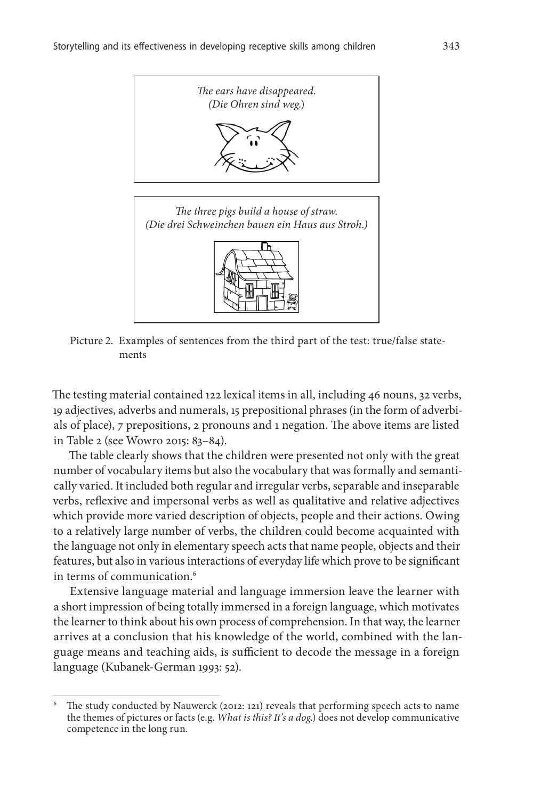

Picture 2. Examples of sentences from the third part of the test: true/false state-

ments

The testing material contained 122 lexical items in all, including 46 nouns, 32 verbs, 19 adjectives, adverbs and numerals, 15 prepositional phrases (in the form of adverbials of place), 7 prepositions, 2 pronouns and 1 negation. The above items are listed in Table 2 (see Wowro 2015: 83–84).

The table clearly shows that the children were presented not only with the great number of vocabulary items but also the vocabulary that was formally and semantically varied. It included both regular and irregular verbs, separable and inseparable verbs, reflexive and impersonal verbs as well as qualitative and relative adjectives which provide more varied description of objects, people and their actions. Owing to a relatively large number of verbs, the children could become acquainted with the language not only in elementary speech acts that name people, objects and their features, but also in various interactions of everyday life which prove to be significant in terms of communication.<sup>6</sup>

Extensive language material and language immersion leave the learner with a short impression of being totally immersed in a foreign language, which motivates the learner to think about his own process of comprehension. In that way, the learner arrives at a conclusion that his knowledge of the world, combined with the language means and teaching aids, is sufficient to decode the message in a foreign language (Kubanek-German 1993: 52).

<sup>6</sup> The study conducted by Nauwerck (2012: 121) reveals that performing speech acts to name the themes of pictures or facts (e.g. *What is this? It's a dog*.) does not develop communicative competence in the long run.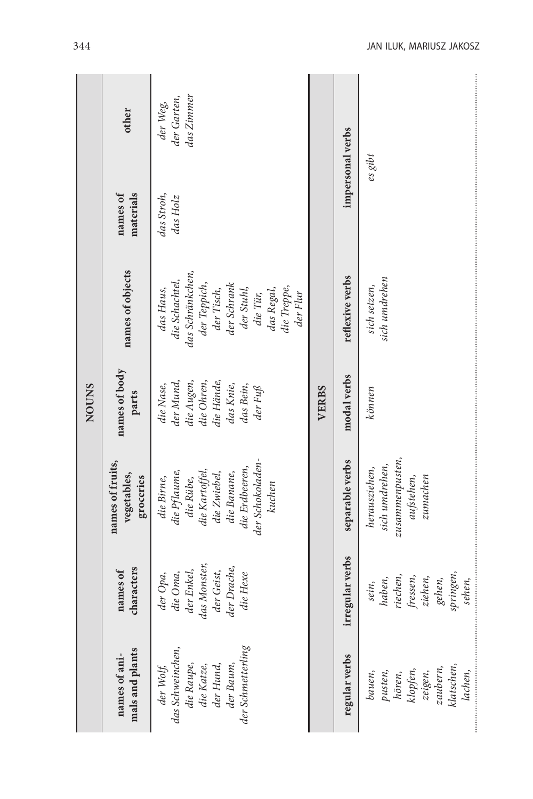| <b>NOUNS</b> | other<br>materials<br>names of<br>names of objects<br>names of body<br>parts | das Zimmer<br>der Garten,<br>der Weg,<br>das Stroh,<br>das Holz<br>das Schränkchen,<br>die Schachtel,<br>der Teppich,<br>der Schrank<br>die Treppe,<br>der Tisch,<br>der Stuhl,<br>das Haus,<br>das Regal,<br>der Flur<br>die Tür,<br>der Mund,<br>die Augen,<br>die Hände,<br>die Ohren,<br>das Knie,<br>die Nase,<br>das Bein,<br>der Fuß | <b>VERBS</b> | impersonal verbs<br>reflexive verbs<br>modal verbs | $es$ $gibt$<br>sich umdrehen<br>sich setzen,<br>$k\ddot{o}$ nnen             |
|--------------|------------------------------------------------------------------------------|---------------------------------------------------------------------------------------------------------------------------------------------------------------------------------------------------------------------------------------------------------------------------------------------------------------------------------------------|--------------|----------------------------------------------------|------------------------------------------------------------------------------|
|              | names of fruits,<br>vegetables,<br>groceries                                 | der Schokoladen-<br>die Erdbeeren,<br>die Pflaume,<br>die Kartoffel,<br>die Banane,<br>die Zwiebel,<br>die Birne,<br>die Rübe,<br>kuchen                                                                                                                                                                                                    |              | separable verbs                                    | zusammenpusten,<br>sich umdrehen,<br>herausziehen,<br>aufstehen,<br>zumachen |
|              | characters<br>names of                                                       | das Monster,<br>der Drache,<br>der Enkel,<br>der Geist,<br>die Oma,<br>der Opa,<br>die Hexe                                                                                                                                                                                                                                                 |              | irregular verbs                                    | springen,<br>riechen,<br>ziehen,<br>fressen,<br>haben,<br>gehen,<br>sein,    |
|              | mals and plants<br>names of ani-                                             | der Schmetterling<br>das Schweinchen,<br>die Raupe,<br>der Baum,<br>der Hund,<br>die Katze,<br>der Wolf,                                                                                                                                                                                                                                    |              | regular verbs                                      | klatschen,<br>zaubern,<br>klopfen,<br>pusten,<br>bauen,<br>zeigen,<br>hören, |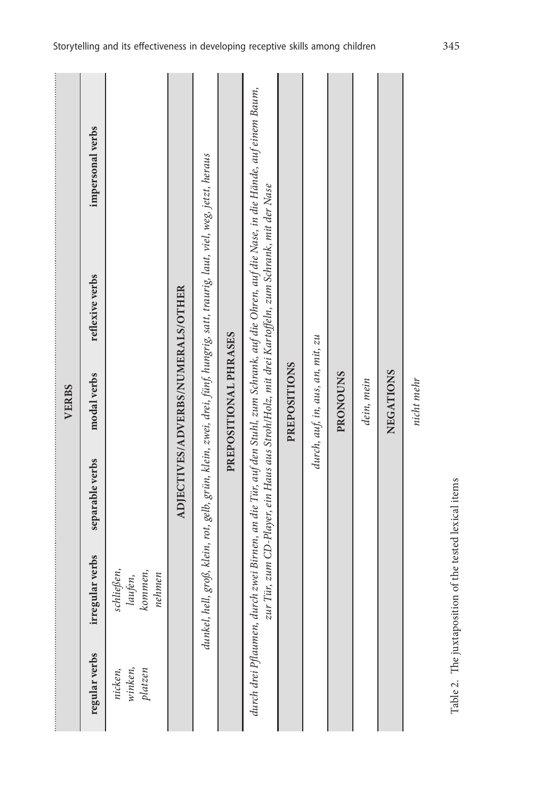|                               |                                                        |                 | <b>VERBS</b>                      |                                                                                                                                                                                                                                               |                  |
|-------------------------------|--------------------------------------------------------|-----------------|-----------------------------------|-----------------------------------------------------------------------------------------------------------------------------------------------------------------------------------------------------------------------------------------------|------------------|
| regular verbs                 | irregular verbs                                        | separable verbs | modal verbs                       | reflexive verbs                                                                                                                                                                                                                               | impersonal verbs |
| winken,<br>platzen<br>nicken, | schließen,<br>kommen,<br>laufen,<br>nehmen             |                 |                                   |                                                                                                                                                                                                                                               |                  |
|                               |                                                        |                 | ADJECTIVES/ADVERBS/NUMERALS/OTHER |                                                                                                                                                                                                                                               |                  |
|                               |                                                        |                 |                                   | dunkel, hell, groß, klein, rot, gelb, grün, klein, zwei, drei, fünf, hungrig, satt, traurig, laut, viel, weg, jetzt, heraus                                                                                                                   |                  |
|                               |                                                        |                 | PREPOSITIONAL PHRASES             |                                                                                                                                                                                                                                               |                  |
|                               |                                                        |                 |                                   | durch drei Pflaumen, durch zwei Birnen, an die Tür, auf den Stuhl, zum Schrank, auf die Ohren, auf die Nase, in die Hände, auf einem Baum,<br>zur Tür, zum CD-Player, ein Haus aus Stroh/Holz, mit drei Kartoffeln, zum Schrank, mit der Nase |                  |
|                               |                                                        |                 | <b>PREPOSITIONS</b>               |                                                                                                                                                                                                                                               |                  |
|                               |                                                        |                 | durch, auf, in, aus, an, mit, zu  |                                                                                                                                                                                                                                               |                  |
|                               |                                                        |                 | <b>PRONOUNS</b>                   |                                                                                                                                                                                                                                               |                  |
|                               |                                                        |                 | dein, mein                        |                                                                                                                                                                                                                                               |                  |
|                               |                                                        |                 | NEGATIONS                         |                                                                                                                                                                                                                                               |                  |
|                               |                                                        |                 | nicht mehr                        |                                                                                                                                                                                                                                               |                  |
|                               | Table 2. The juxtaposition of the tested lexical items |                 |                                   |                                                                                                                                                                                                                                               |                  |

Storytelling and its effectiveness in developing receptive skills among children 345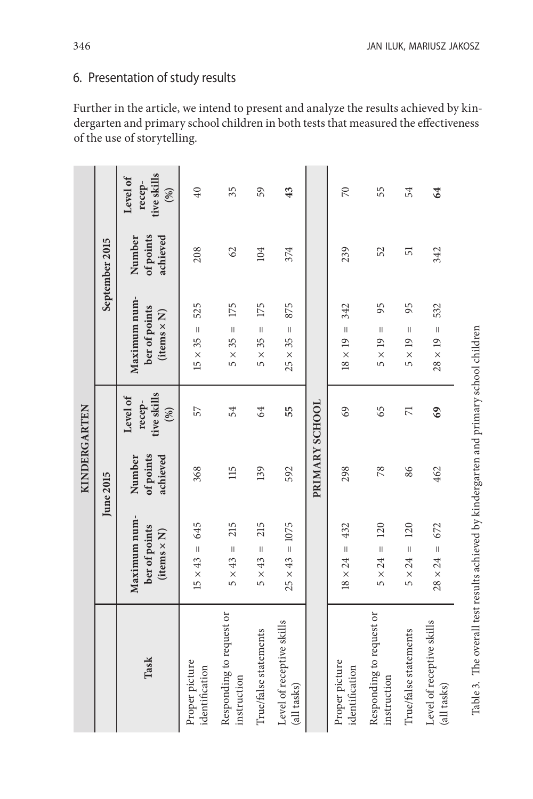# 6. Presentation of study results

Further in the article, we intend to present and analyze the results achieved by kindergarten and primary school children in both tests that measured the effectiveness of the use of storytelling.

|                                                                                        |                                                            | KINDERGARTEN                    |                                          |                                                     |                                 |                                          |
|----------------------------------------------------------------------------------------|------------------------------------------------------------|---------------------------------|------------------------------------------|-----------------------------------------------------|---------------------------------|------------------------------------------|
|                                                                                        |                                                            | June 2015                       |                                          |                                                     | September 2015                  |                                          |
| Task                                                                                   | Maximum num-<br>ber of points<br>$\left($ items $\times N$ | of points<br>achieved<br>Number | tive skills<br>Level of<br>recep-<br>(%) | Maximum num-<br>ber of points<br>$(items \times N)$ | of points<br>achieved<br>Number | tive skills<br>Level of<br>recep-<br>(%) |
| Proper picture<br>identification                                                       | 645<br>$15 \times 43 =$                                    | 368                             | 57                                       | 525<br>$\mathbf{I}$<br>$15 \times 35$               | 208                             | 40                                       |
| Responding to request or<br>instruction                                                | 215<br>$\mathbf{  }$<br>$5 \times 43$                      | 115                             | 54                                       | 175<br>$\mathbf{  }$<br>$5 \times 35$               | 62                              | 35                                       |
| True/false statements                                                                  | 215<br>$\parallel$<br>$5 \times 43$                        | 139                             | 64                                       | 175<br>$5 \times 35 =$                              | 104                             | 59                                       |
| Level of receptive skills<br>(all tasks)                                               | $= 1075$<br>$25 \times 43$                                 | 592                             | 55                                       | 875<br>$\mathbf{  }$<br>$25 \times 35$              | 374                             | 43                                       |
|                                                                                        |                                                            | PRIMARY SCHOOL                  |                                          |                                                     |                                 |                                          |
| Proper picture<br>identification                                                       | 432<br>$18 \times 24 =$                                    | 298                             | 69                                       | 342<br>$18 \times 19 =$                             | 239                             | $\approx$                                |
| Responding to request or<br>instruction                                                | 120<br>$5 \times 24 =$                                     | 78                              | 65                                       | 95<br>$\mathsf{I}$<br>$5 \times 19$                 | 52                              | 55                                       |
| True/false statements                                                                  | 120<br>$\overline{\mathbf{I}}$<br>$5 \times 24$            | 86                              | $\overline{\mathbf{r}}$                  | 95<br>$\mathbf{I}$<br>$5 \times 19$                 | 57                              | 54                                       |
| Level of receptive skills<br>(all tasks)                                               | 672<br>$28 \times 24 =$                                    | 462                             | 69                                       | 532<br>$28 \times 19 =$                             | 342                             | 64                                       |
| Table 3. The overall test results achieved by kindergarten and primary school children |                                                            |                                 |                                          |                                                     |                                 |                                          |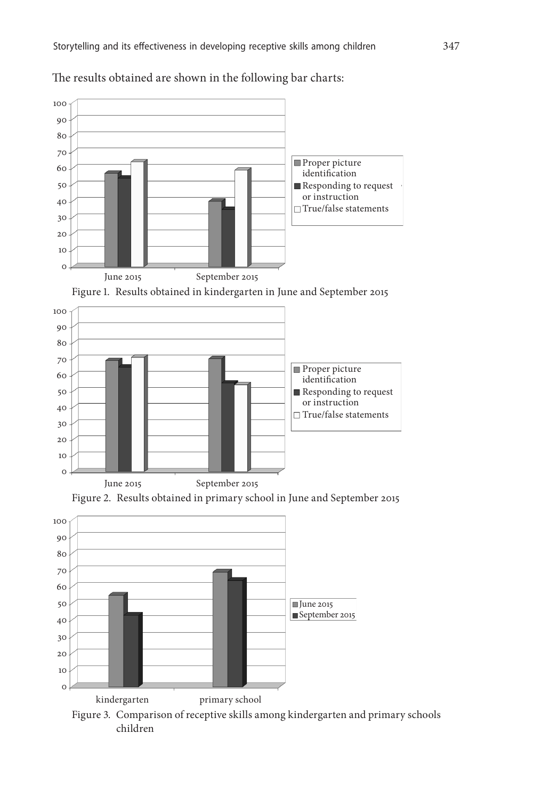

The results obtained are shown in the following bar charts:





Figure 2. Results obtained in primary school in June and September 2015

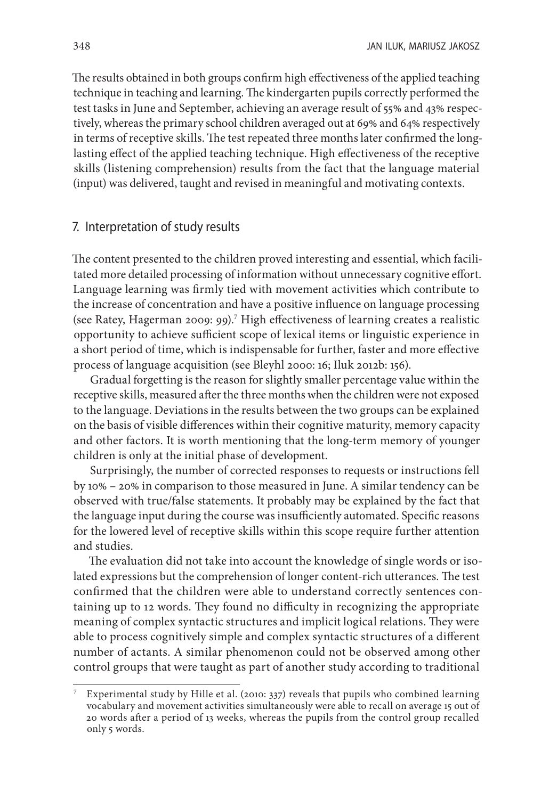The results obtained in both groups confirm high effectiveness of the applied teaching technique in teaching and learning. The kindergarten pupils correctly performed the test tasks in June and September, achieving an average result of 55% and 43% respectively, whereas the primary school children averaged out at 69% and 64% respectively in terms of receptive skills. The test repeated three months later confirmed the longlasting effect of the applied teaching technique. High effectiveness of the receptive skills (listening comprehension) results from the fact that the language material (input) was delivered, taught and revised in meaningful and motivating contexts.

#### 7. Interpretation of study results

The content presented to the children proved interesting and essential, which facilitated more detailed processing of information without unnecessary cognitive effort. Language learning was firmly tied with movement activities which contribute to the increase of concentration and have a positive influence on language processing (see Ratey, Hagerman 2009: 99).7 High effectiveness of learning creates a realistic opportunity to achieve sufficient scope of lexical items or linguistic experience in a short period of time, which is indispensable for further, faster and more effective process of language acquisition (see Bleyhl 2000: 16; Iluk 2012b: 156).

Gradual forgetting is the reason for slightly smaller percentage value within the receptive skills, measured after the three months when the children were not exposed to the language. Deviations in the results between the two groups can be explained on the basis of visible differences within their cognitive maturity, memory capacity and other factors. It is worth mentioning that the long-term memory of younger children is only at the initial phase of development.

Surprisingly, the number of corrected responses to requests or instructions fell by 10% – 20% in comparison to those measured in June. A similar tendency can be observed with true/false statements. It probably may be explained by the fact that the language input during the course was insufficiently automated. Specific reasons for the lowered level of receptive skills within this scope require further attention and studies.

The evaluation did not take into account the knowledge of single words or isolated expressions but the comprehension of longer content-rich utterances. The test confirmed that the children were able to understand correctly sentences containing up to 12 words. They found no difficulty in recognizing the appropriate meaning of complex syntactic structures and implicit logical relations. They were able to process cognitively simple and complex syntactic structures of a different number of actants. A similar phenomenon could not be observed among other control groups that were taught as part of another study according to traditional

Experimental study by Hille et al. (2010: 337) reveals that pupils who combined learning vocabulary and movement activities simultaneously were able to recall on average 15 out of 20 words after a period of 13 weeks, whereas the pupils from the control group recalled only 5 words.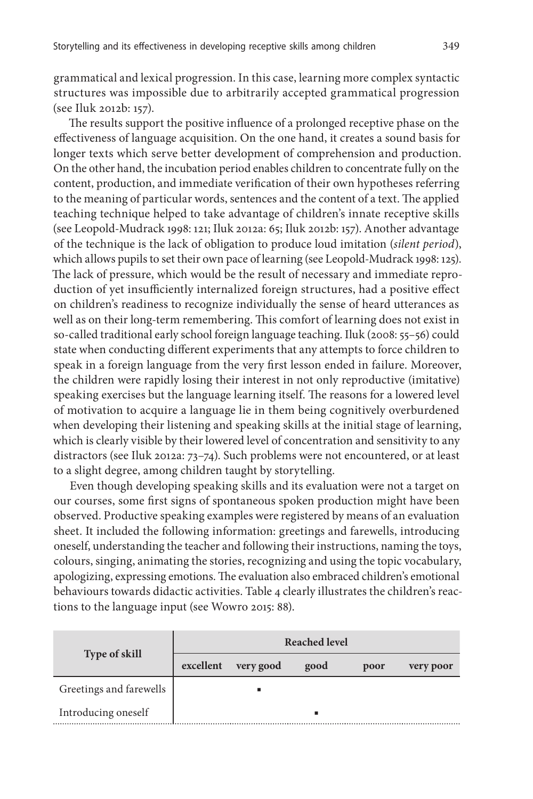grammatical and lexical progression. In this case, learning more complex syntactic structures was impossible due to arbitrarily accepted grammatical progression (see Iluk 2012b: 157).

The results support the positive influence of a prolonged receptive phase on the effectiveness of language acquisition. On the one hand, it creates a sound basis for longer texts which serve better development of comprehension and production. On the other hand, the incubation period enables children to concentrate fully on the content, production, and immediate verification of their own hypotheses referring to the meaning of particular words, sentences and the content of a text. The applied teaching technique helped to take advantage of children's innate receptive skills (see Leopold-Mudrack 1998: 121; Iluk 2012a: 65; Iluk 2012b: 157). Another advantage of the technique is the lack of obligation to produce loud imitation (*silent period*), which allows pupils to set their own pace of learning (see Leopold-Mudrack 1998: 125). The lack of pressure, which would be the result of necessary and immediate reproduction of yet insufficiently internalized foreign structures, had a positive effect on children's readiness to recognize individually the sense of heard utterances as well as on their long-term remembering. This comfort of learning does not exist in so-called traditional early school foreign language teaching. Iluk (2008: 55–56) could state when conducting different experiments that any attempts to force children to speak in a foreign language from the very first lesson ended in failure. Moreover, the children were rapidly losing their interest in not only reproductive (imitative) speaking exercises but the language learning itself. The reasons for a lowered level of motivation to acquire a language lie in them being cognitively overburdened when developing their listening and speaking skills at the initial stage of learning, which is clearly visible by their lowered level of concentration and sensitivity to any distractors (see Iluk 2012a: 73–74). Such problems were not encountered, or at least to a slight degree, among children taught by storytelling.

Even though developing speaking skills and its evaluation were not a target on our courses, some first signs of spontaneous spoken production might have been observed. Productive speaking examples were registered by means of an evaluation sheet. It included the following information: greetings and farewells, introducing oneself, understanding the teacher and following their instructions, naming the toys, colours, singing, animating the stories, recognizing and using the topic vocabulary, apologizing, expressing emotions. The evaluation also embraced children's emotional behaviours towards didactic activities. Table 4 clearly illustrates the children's reactions to the language input (see Wowro 2015: 88).

|                         |           |           | Reached level |      |           |
|-------------------------|-----------|-----------|---------------|------|-----------|
| <b>Type of skill</b>    | excellent | very good | good          | poor | very poor |
| Greetings and farewells |           |           |               |      |           |
| Introducing oneself     |           |           | ٠             |      |           |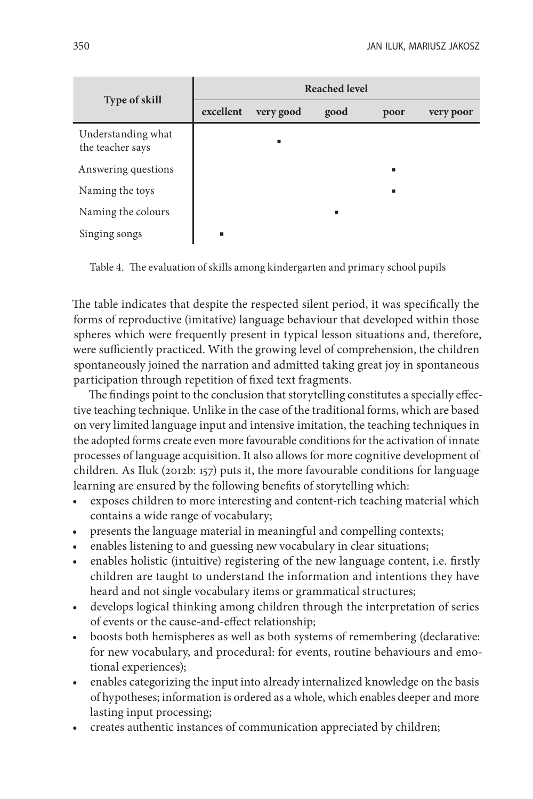| <b>Type of skill</b>                   | <b>Reached level</b> |           |      |      |           |  |
|----------------------------------------|----------------------|-----------|------|------|-----------|--|
|                                        | excellent            | very good | good | poor | very poor |  |
| Understanding what<br>the teacher says |                      | ٠         |      |      |           |  |
| Answering questions                    |                      |           |      | п    |           |  |
| Naming the toys                        |                      |           |      | п    |           |  |
| Naming the colours                     |                      |           | п    |      |           |  |
| Singing songs                          | ٠                    |           |      |      |           |  |

Table 4. The evaluation of skills among kindergarten and primary school pupils

The table indicates that despite the respected silent period, it was specifically the forms of reproductive (imitative) language behaviour that developed within those spheres which were frequently present in typical lesson situations and, therefore, were sufficiently practiced. With the growing level of comprehension, the children spontaneously joined the narration and admitted taking great joy in spontaneous participation through repetition of fixed text fragments.

The findings point to the conclusion that storytelling constitutes a specially effective teaching technique. Unlike in the case of the traditional forms, which are based on very limited language input and intensive imitation, the teaching techniques in the adopted forms create even more favourable conditions for the activation of innate processes of language acquisition. It also allows for more cognitive development of children. As Iluk (2012b: 157) puts it, the more favourable conditions for language learning are ensured by the following benefits of storytelling which:

- exposes children to more interesting and content-rich teaching material which contains a wide range of vocabulary;
- presents the language material in meaningful and compelling contexts;
- enables listening to and guessing new vocabulary in clear situations;
- enables holistic (intuitive) registering of the new language content, i.e. firstly children are taught to understand the information and intentions they have heard and not single vocabulary items or grammatical structures;
- develops logical thinking among children through the interpretation of series of events or the cause-and-effect relationship;
- boosts both hemispheres as well as both systems of remembering (declarative: for new vocabulary, and procedural: for events, routine behaviours and emotional experiences);
- enables categorizing the input into already internalized knowledge on the basis of hypotheses; information is ordered as a whole, which enables deeper and more lasting input processing;
- creates authentic instances of communication appreciated by children;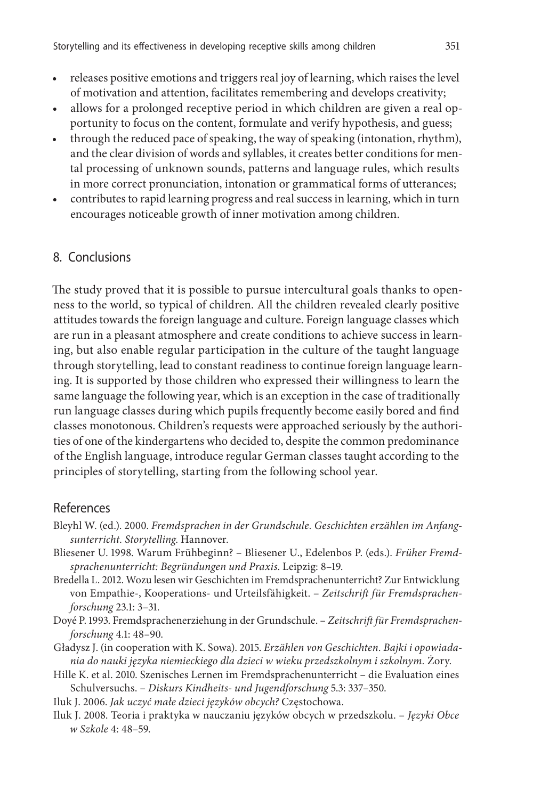- releases positive emotions and triggers real joy of learning, which raises the level of motivation and attention, facilitates remembering and develops creativity;
- allows for a prolonged receptive period in which children are given a real opportunity to focus on the content, formulate and verify hypothesis, and guess;
- through the reduced pace of speaking, the way of speaking (intonation, rhythm), and the clear division of words and syllables, it creates better conditions for mental processing of unknown sounds, patterns and language rules, which results in more correct pronunciation, intonation or grammatical forms of utterances;
- contributes to rapid learning progress and real success in learning, which in turn encourages noticeable growth of inner motivation among children.

## 8. Conclusions

The study proved that it is possible to pursue intercultural goals thanks to openness to the world, so typical of children. All the children revealed clearly positive attitudes towards the foreign language and culture. Foreign language classes which are run in a pleasant atmosphere and create conditions to achieve success in learning, but also enable regular participation in the culture of the taught language through storytelling, lead to constant readiness to continue foreign language learning. It is supported by those children who expressed their willingness to learn the same language the following year, which is an exception in the case of traditionally run language classes during which pupils frequently become easily bored and find classes monotonous. Children's requests were approached seriously by the authorities of one of the kindergartens who decided to, despite the common predominance of the English language, introduce regular German classes taught according to the principles of storytelling, starting from the following school year.

#### References

- Bleyhl W. (ed.). 2000. *Fremdsprachen in der Grundschule. Geschichten erzählen im Anfangsunterricht. Storytelling*. Hannover.
- Bliesener U. 1998. Warum Frühbeginn? Bliesener U., Edelenbos P. (eds.). *Früher Fremdsprachenunterricht: Begründungen und Praxis*. Leipzig: 8–19.
- Bredella L. 2012. Wozu lesen wir Geschichten im Fremdsprachenunterricht? Zur Entwicklung von Empathie-, Kooperations- und Urteilsfähigkeit. – *Zeitschrift für Fremdsprachenforschung* 23.1: 3–31.
- Doyé P. 1993. Fremdsprachenerziehung in der Grundschule. *Zeitschrift für Fremdsprachenforschung* 4.1: 48–90.
- Gładysz J. (in cooperation with K. Sowa). 2015. *Erzählen von Geschichten. Bajki i opowiadania do nauki języka niemieckiego dla dzieci w wieku przedszkolnym i szkolnym.* Żory.
- Hille K. et al. 2010. Szenisches Lernen im Fremdsprachenunterricht die Evaluation eines Schulversuchs. – *Diskurs Kindheits- und Jugendforschung* 5.3: 337–350.
- Iluk J. 2006. *Jak uczyć małe dzieci języków obcych?* Częstochowa.
- Iluk J. 2008. Teoria i praktyka w nauczaniu języków obcych w przedszkolu. *Języki Obce w Szkole* 4: 48–59.